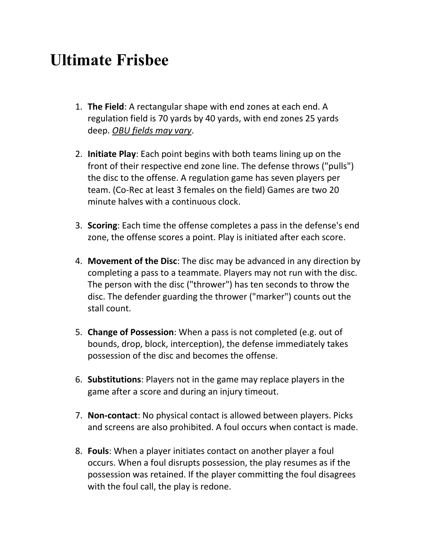## **Ultimate Frisbee**

- 1. **The Field**: A rectangular shape with end zones at each end. A regulation field is 70 yards by 40 yards, with end zones 25 yards deep. *OBU fields may vary*.
- 2. **Initiate Play**: Each point begins with both teams lining up on the front of their respective end zone line. The defense throws ("pulls") the disc to the offense. A regulation game has seven players per team. (Co-Rec at least 3 females on the field) Games are two 20 minute halves with a continuous clock.
- 3. **Scoring**: Each time the offense completes a pass in the defense's end zone, the offense scores a point. Play is initiated after each score.
- 4. **Movement of the Disc**: The disc may be advanced in any direction by completing a pass to a teammate. Players may not run with the disc. The person with the disc ("thrower") has ten seconds to throw the disc. The defender guarding the thrower ("marker") counts out the stall count.
- 5. **Change of Possession**: When a pass is not completed (e.g. out of bounds, drop, block, interception), the defense immediately takes possession of the disc and becomes the offense.
- 6. **Substitutions**: Players not in the game may replace players in the game after a score and during an injury timeout.
- 7. **Non-contact**: No physical contact is allowed between players. Picks and screens are also prohibited. A foul occurs when contact is made.
- 8. **Fouls**: When a player initiates contact on another player a foul occurs. When a foul disrupts possession, the play resumes as if the possession was retained. If the player committing the foul disagrees with the foul call, the play is redone.